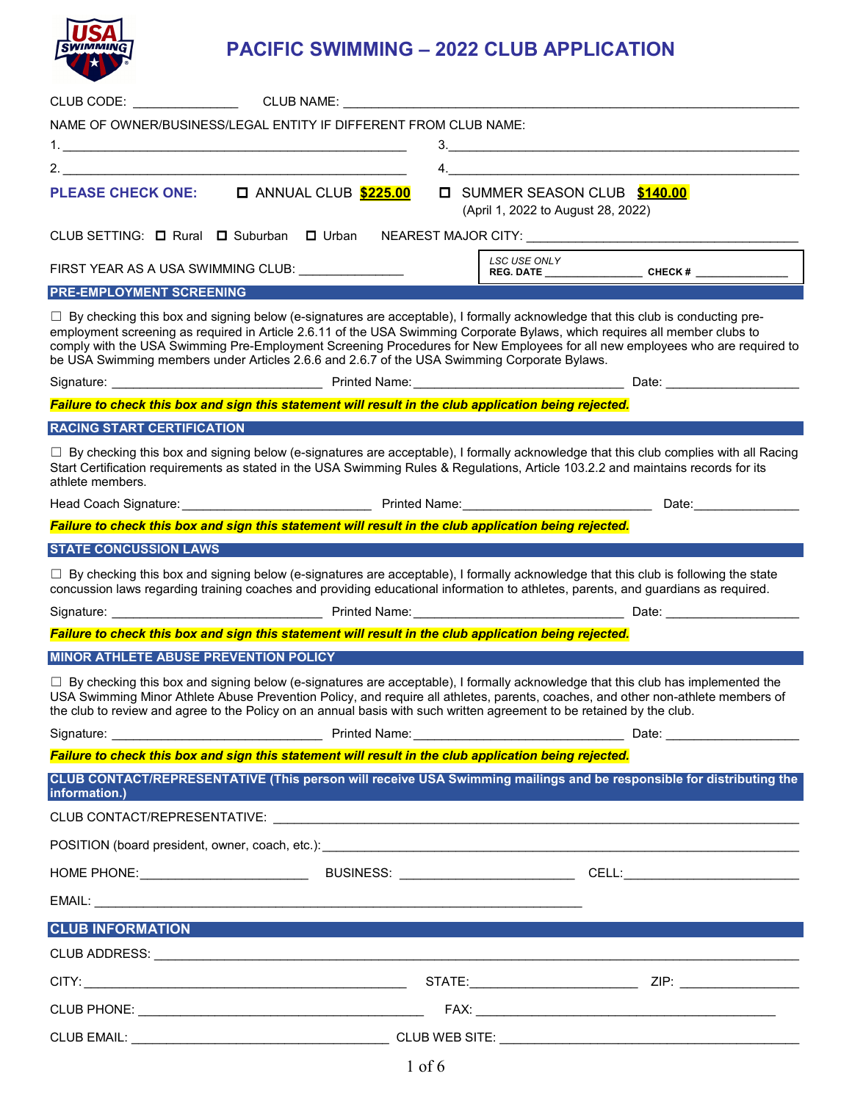

## **PACIFIC SWIMMING – 2022 CLUB APPLICATION**

| CLUB CODE: CLUB NAME:                                                                                                                                                                                                                                                                                                                                                |                                                                                                                                                                                                                                                                                |
|----------------------------------------------------------------------------------------------------------------------------------------------------------------------------------------------------------------------------------------------------------------------------------------------------------------------------------------------------------------------|--------------------------------------------------------------------------------------------------------------------------------------------------------------------------------------------------------------------------------------------------------------------------------|
| NAME OF OWNER/BUSINESS/LEGAL ENTITY IF DIFFERENT FROM CLUB NAME:                                                                                                                                                                                                                                                                                                     |                                                                                                                                                                                                                                                                                |
|                                                                                                                                                                                                                                                                                                                                                                      | 3.                                                                                                                                                                                                                                                                             |
|                                                                                                                                                                                                                                                                                                                                                                      |                                                                                                                                                                                                                                                                                |
| <b>O ANNUAL CLUB \$225.00</b><br><b>PLEASE CHECK ONE:</b>                                                                                                                                                                                                                                                                                                            | <b>IND</b> SUMMER SEASON CLUB \$140.00<br>(April 1, 2022 to August 28, 2022)                                                                                                                                                                                                   |
| CLUB SETTING: □ Rural □ Suburban □ Urban NEAREST MAJOR CITY: ___________________                                                                                                                                                                                                                                                                                     |                                                                                                                                                                                                                                                                                |
| FIRST YEAR AS A USA SWIMMING CLUB: UNITED ASSEMBLY                                                                                                                                                                                                                                                                                                                   |                                                                                                                                                                                                                                                                                |
| <b>PRE-EMPLOYMENT SCREENING</b>                                                                                                                                                                                                                                                                                                                                      |                                                                                                                                                                                                                                                                                |
| $\Box$ By checking this box and signing below (e-signatures are acceptable), I formally acknowledge that this club is conducting pre-<br>employment screening as required in Article 2.6.11 of the USA Swimming Corporate Bylaws, which requires all member clubs to<br>be USA Swimming members under Articles 2.6.6 and 2.6.7 of the USA Swimming Corporate Bylaws. | comply with the USA Swimming Pre-Employment Screening Procedures for New Employees for all new employees who are required to                                                                                                                                                   |
|                                                                                                                                                                                                                                                                                                                                                                      |                                                                                                                                                                                                                                                                                |
| Failure to check this box and sign this statement will result in the club application being rejected.                                                                                                                                                                                                                                                                |                                                                                                                                                                                                                                                                                |
| <b>RACING START CERTIFICATION</b>                                                                                                                                                                                                                                                                                                                                    |                                                                                                                                                                                                                                                                                |
| Start Certification requirements as stated in the USA Swimming Rules & Regulations, Article 103.2.2 and maintains records for its<br>athlete members.                                                                                                                                                                                                                | □ By checking this box and signing below (e-signatures are acceptable), I formally acknowledge that this club complies with all Racing                                                                                                                                         |
| Head Coach Signature: <u>Communication of Printed Name: Coach Coach Signature:</u>                                                                                                                                                                                                                                                                                   | Date: <b>Date:</b>                                                                                                                                                                                                                                                             |
| Failure to check this box and sign this statement will result in the club application being rejected.                                                                                                                                                                                                                                                                |                                                                                                                                                                                                                                                                                |
| <b>STATE CONCUSSION LAWS</b>                                                                                                                                                                                                                                                                                                                                         |                                                                                                                                                                                                                                                                                |
|                                                                                                                                                                                                                                                                                                                                                                      | $\Box$ By checking this box and signing below (e-signatures are acceptable), I formally acknowledge that this club is following the state<br>concussion laws regarding training coaches and providing educational information to athletes, parents, and guardians as required. |
|                                                                                                                                                                                                                                                                                                                                                                      |                                                                                                                                                                                                                                                                                |
| Failure to check this box and sign this statement will result in the club application being rejected.                                                                                                                                                                                                                                                                |                                                                                                                                                                                                                                                                                |
| MINOR ATHLETE ABUSE PREVENTION POLICY                                                                                                                                                                                                                                                                                                                                |                                                                                                                                                                                                                                                                                |
| the club to review and agree to the Policy on an annual basis with such written agreement to be retained by the club.                                                                                                                                                                                                                                                | $\Box$ By checking this box and signing below (e-signatures are acceptable), I formally acknowledge that this club has implemented the<br>USA Swimming Minor Athlete Abuse Prevention Policy, and require all athletes, parents, coaches, and other non-athlete members of     |
|                                                                                                                                                                                                                                                                                                                                                                      |                                                                                                                                                                                                                                                                                |
| Failure to check this box and sign this statement will result in the club application being rejected.                                                                                                                                                                                                                                                                |                                                                                                                                                                                                                                                                                |
|                                                                                                                                                                                                                                                                                                                                                                      | CLUB CONTACT/REPRESENTATIVE (This person will receive USA Swimming mailings and be responsible for distributing the<br>information.)                                                                                                                                           |
|                                                                                                                                                                                                                                                                                                                                                                      |                                                                                                                                                                                                                                                                                |
|                                                                                                                                                                                                                                                                                                                                                                      |                                                                                                                                                                                                                                                                                |
|                                                                                                                                                                                                                                                                                                                                                                      |                                                                                                                                                                                                                                                                                |
|                                                                                                                                                                                                                                                                                                                                                                      |                                                                                                                                                                                                                                                                                |
| <b>CLUB INFORMATION</b>                                                                                                                                                                                                                                                                                                                                              |                                                                                                                                                                                                                                                                                |
|                                                                                                                                                                                                                                                                                                                                                                      |                                                                                                                                                                                                                                                                                |
|                                                                                                                                                                                                                                                                                                                                                                      |                                                                                                                                                                                                                                                                                |
|                                                                                                                                                                                                                                                                                                                                                                      |                                                                                                                                                                                                                                                                                |
|                                                                                                                                                                                                                                                                                                                                                                      |                                                                                                                                                                                                                                                                                |
|                                                                                                                                                                                                                                                                                                                                                                      |                                                                                                                                                                                                                                                                                |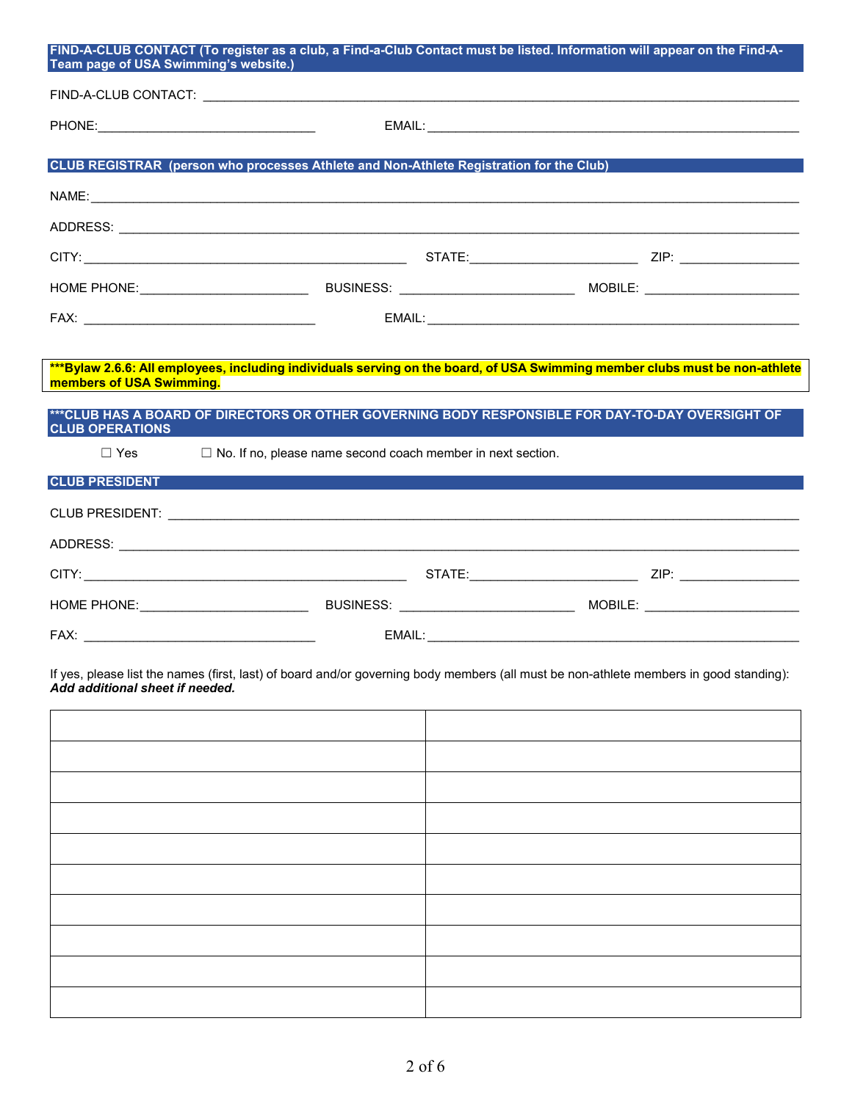| Team page of USA Swimming's website.) | FIND-A-CLUB CONTACT (To register as a club, a Find-a-Club Contact must be listed. Information will appear on the Find-A-                                               |  |
|---------------------------------------|------------------------------------------------------------------------------------------------------------------------------------------------------------------------|--|
|                                       |                                                                                                                                                                        |  |
|                                       |                                                                                                                                                                        |  |
|                                       | CLUB REGISTRAR (person who processes Athlete and Non-Athlete Registration for the Club)                                                                                |  |
|                                       |                                                                                                                                                                        |  |
|                                       |                                                                                                                                                                        |  |
|                                       |                                                                                                                                                                        |  |
|                                       |                                                                                                                                                                        |  |
|                                       |                                                                                                                                                                        |  |
|                                       |                                                                                                                                                                        |  |
| members of USA Swimming.              | ***Bylaw 2.6.6: All employees, including individuals serving on the board, of USA Swimming member clubs must be non-athlete                                            |  |
| <b>CLUB OPERATIONS</b><br>$\Box$ Yes  | ***CLUB HAS A BOARD OF DIRECTORS OR OTHER GOVERNING BODY RESPONSIBLE FOR DAY-TO-DAY OVERSIGHT OF<br>$\Box$ No. If no, please name second coach member in next section. |  |
| <b>CLUB PRESIDENT</b>                 |                                                                                                                                                                        |  |
|                                       |                                                                                                                                                                        |  |
|                                       |                                                                                                                                                                        |  |
|                                       |                                                                                                                                                                        |  |
|                                       |                                                                                                                                                                        |  |
|                                       |                                                                                                                                                                        |  |
| Add additional sheet if needed.       | If yes, please list the names (first, last) of board and/or governing body members (all must be non-athlete members in good standing):                                 |  |
|                                       |                                                                                                                                                                        |  |
|                                       |                                                                                                                                                                        |  |
|                                       |                                                                                                                                                                        |  |
|                                       |                                                                                                                                                                        |  |
|                                       |                                                                                                                                                                        |  |
|                                       |                                                                                                                                                                        |  |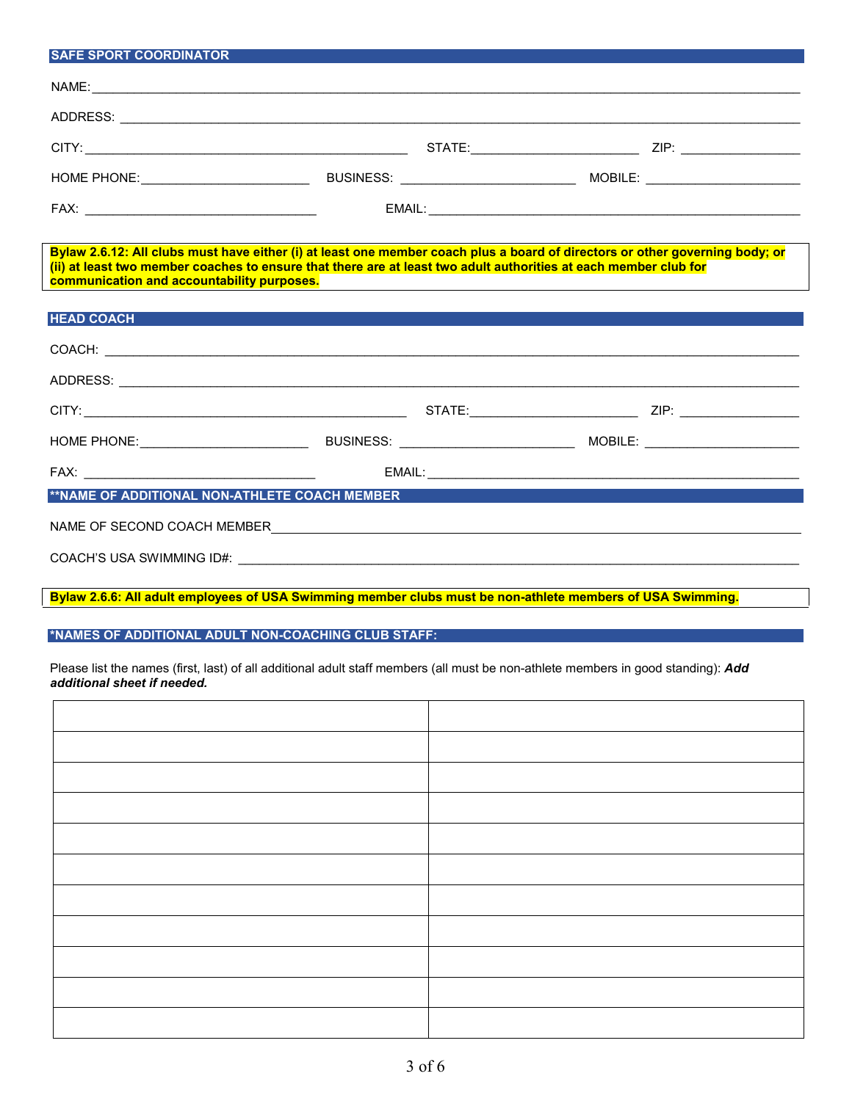| <b>SAFE SPORT COORDINATOR</b>                                                                                                                                                                                                                                                                  |                                               |  |
|------------------------------------------------------------------------------------------------------------------------------------------------------------------------------------------------------------------------------------------------------------------------------------------------|-----------------------------------------------|--|
|                                                                                                                                                                                                                                                                                                |                                               |  |
|                                                                                                                                                                                                                                                                                                |                                               |  |
|                                                                                                                                                                                                                                                                                                |                                               |  |
|                                                                                                                                                                                                                                                                                                |                                               |  |
|                                                                                                                                                                                                                                                                                                |                                               |  |
| Bylaw 2.6.12: All clubs must have either (i) at least one member coach plus a board of directors or other governing body; or<br>(ii) at least two member coaches to ensure that there are at least two adult authorities at each member club for<br>communication and accountability purposes. | <u> 1989 - Andrea Andrew Maria (h. 1989).</u> |  |
| <b>HEAD COACH</b>                                                                                                                                                                                                                                                                              |                                               |  |
| COACH: <u>University of the COACH: COACH: COACH: COACH: COACH: COACH: COACH: COACH: COACH: COACH: COACH: COACH: COACH: COACH: COACH: COACH: COACH: COACH: COACH: COACH: COACH: COACH: COACH: COACH: COACH: COACH: COACH: COACH: </u>                                                           |                                               |  |
|                                                                                                                                                                                                                                                                                                |                                               |  |
|                                                                                                                                                                                                                                                                                                |                                               |  |
|                                                                                                                                                                                                                                                                                                |                                               |  |
|                                                                                                                                                                                                                                                                                                |                                               |  |
| **NAME OF ADDITIONAL NON-ATHLETE COACH MEMBER                                                                                                                                                                                                                                                  |                                               |  |
| NAME OF SECOND COACH MEMBER NAME OF STATE SERVICE SERVICE SERVICE SERVICE SERVICE SERVICE SERVICE SERVICE SERVICE SERVICE SERVICE SERVICE SERVICE SERVICE SERVICE SERVICE SERVICE SERVICE SERVICE SERVICE SERVICE SERVICE SERV                                                                 |                                               |  |
|                                                                                                                                                                                                                                                                                                |                                               |  |

**Bylaw 2.6.6: All adult employees of USA Swimming member clubs must be non-athlete members of USA Swimming.**

**\*NAMES OF ADDITIONAL ADULT NON-COACHING CLUB STAFF:**

Please list the names (first, last) of all additional adult staff members (all must be non-athlete members in good standing): *Add additional sheet if needed.*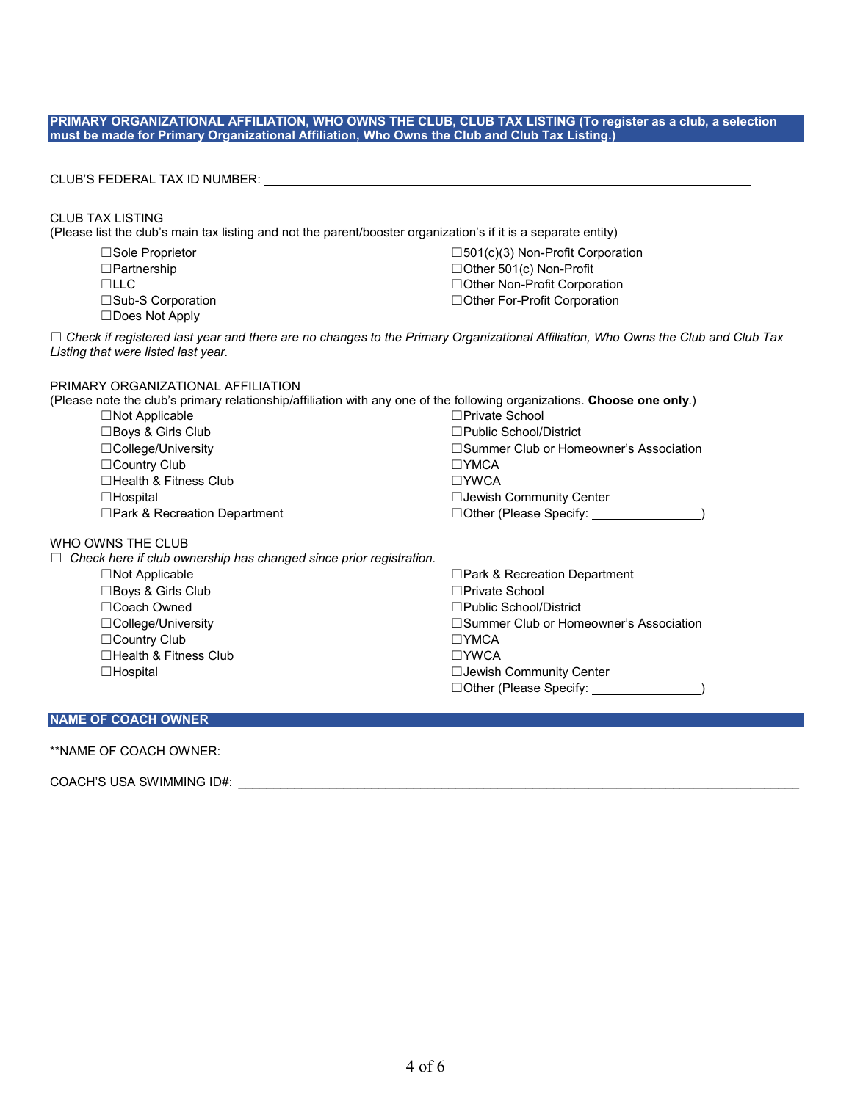#### **PRIMARY ORGANIZATIONAL AFFILIATION, WHO OWNS THE CLUB, CLUB TAX LISTING (To register as a club, a selection must be made for Primary Organizational Affiliation, Who Owns the Club and Club Tax Listing.)**

### CLUB'S FEDERAL TAX ID NUMBER:

#### CLUB TAX LISTING

(Please list the club's main tax listing and not the parent/booster organization's if it is a separate entity)

☐Does Not Apply

☐Sole Proprietor ☐501(c)(3) Non-Profit Corporation ☐Partnership ☐Other 501(c) Non-Profit ☐LLC ☐Other Non-Profit Corporation ☐Sub-S Corporation ☐Other For-Profit Corporation

☐ *Check if registered last year and there are no changes to the Primary Organizational Affiliation, Who Owns the Club and Club Tax Listing that were listed last year.*

# PRIMARY ORGANIZATIONAL AFFILIATION<br>(Please note the club's primary relationship/at

|                                     | (Please note the club's primary relationship/affiliation with any one of the following organizations. Choose one only.) |
|-------------------------------------|-------------------------------------------------------------------------------------------------------------------------|
| $\Box$ Not Applicable               | $\Box$ Private School                                                                                                   |
| $\Box$ Boys & Girls Club            | $\Box$ Public School/District                                                                                           |
| $\Box$ College/University           | □ Summer Club or Homeowner's Association                                                                                |
| $\Box$ Country Club                 | $\Box$ YMCA                                                                                                             |
| $\Box$ Health & Fitness Club        | $\Box$ YWCA                                                                                                             |
| $\Box$ Hospital                     | □ Jewish Community Center                                                                                               |
| $\Box$ Park & Recreation Department | $\Box$ Other (Please Specify:                                                                                           |
| WHO OWNS THE CLUB                   |                                                                                                                         |

☐ *Check here if club ownership has changed since prior registration.* ☐Not Applicable ☐Park & Recreation Department ☐Boys & Girls Club ☐Private School ☐Coach Owned ☐Public School/District ☐College/University ☐Summer Club or Homeowner's Association ☐Country Club ☐YMCA ☐Health & Fitness Club ☐YWCA ☐Hospital ☐Jewish Community Center □Other (Please Specify: <u>)</u>

### **NAME OF COACH OWNER**

WHO

### \*\*NAME OF COACH OWNER:

COACH'S USA SWIMMING ID#: \_\_\_\_\_\_\_\_\_\_\_\_\_\_\_\_\_\_\_\_\_\_\_\_\_\_\_\_\_\_\_\_\_\_\_\_\_\_\_\_\_\_\_\_\_\_\_\_\_\_\_\_\_\_\_\_\_\_\_\_\_\_\_\_\_\_\_\_\_\_\_\_\_\_\_\_\_\_\_\_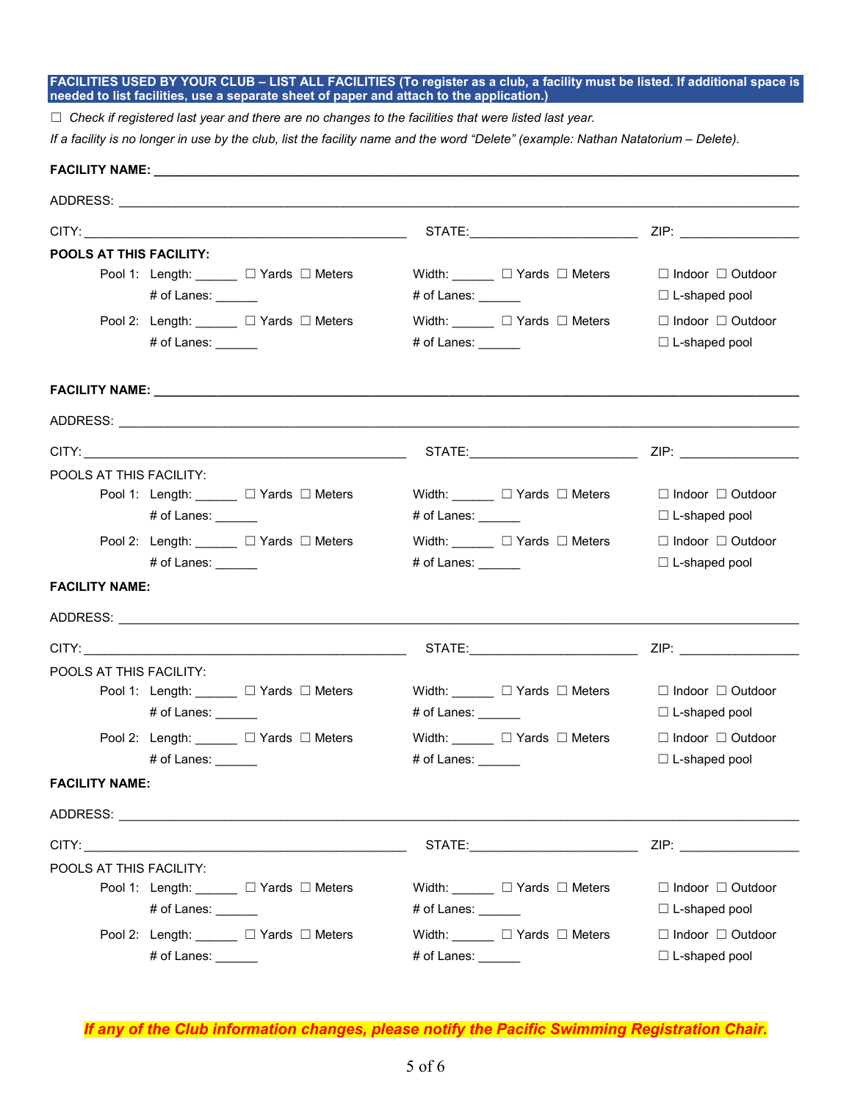**FACILITIES USED BY YOUR CLUB – LIST ALL FACILITIES (To register as a club, a facility must be listed. If additional space is needed to list facilities, use a separate sheet of paper and attach to the application.)**

☐ *Check if registered last year and there are no changes to the facilities that were listed last year.*

*If a facility is no longer in use by the club, list the facility name and the word "Delete" (example: Nathan Natatorium – Delete).*

| FACILITY NAME: The contract of the contract of the contract of the contract of the contract of the contract of the contract of the contract of the contract of the contract of the contract of the contract of the contract of |                                                                                                                                                                                                                                |                                                                                                                                                                                                                                    |
|--------------------------------------------------------------------------------------------------------------------------------------------------------------------------------------------------------------------------------|--------------------------------------------------------------------------------------------------------------------------------------------------------------------------------------------------------------------------------|------------------------------------------------------------------------------------------------------------------------------------------------------------------------------------------------------------------------------------|
|                                                                                                                                                                                                                                |                                                                                                                                                                                                                                |                                                                                                                                                                                                                                    |
|                                                                                                                                                                                                                                |                                                                                                                                                                                                                                |                                                                                                                                                                                                                                    |
| <b>POOLS AT THIS FACILITY:</b><br>Pool 1: Length: ______ □ Yards □ Meters<br># of Lanes: $\_\_$                                                                                                                                | Width: $\Box$ $\Box$ Yards $\Box$ Meters<br># of Lanes: ______                                                                                                                                                                 | $\Box$ Indoor $\Box$ Outdoor<br>$\Box$ L-shaped pool                                                                                                                                                                               |
| Pool 2: Length: □ Yards □ Meters<br># of Lanes: ______                                                                                                                                                                         | Width: $\Box$ $\Box$ Yards $\Box$ Meters<br># of Lanes: $\_\_$                                                                                                                                                                 | $\Box$ Indoor $\Box$ Outdoor<br>$\Box$ L-shaped pool                                                                                                                                                                               |
|                                                                                                                                                                                                                                |                                                                                                                                                                                                                                |                                                                                                                                                                                                                                    |
|                                                                                                                                                                                                                                |                                                                                                                                                                                                                                |                                                                                                                                                                                                                                    |
|                                                                                                                                                                                                                                |                                                                                                                                                                                                                                |                                                                                                                                                                                                                                    |
| POOLS AT THIS FACILITY:<br>Pool 1: Length: ______ □ Yards □ Meters<br># of Lanes: ______                                                                                                                                       | Width: $\Box$ Yards $\Box$ Meters<br># of Lanes: ______                                                                                                                                                                        | $\Box$ Indoor $\Box$ Outdoor<br>$\Box$ L-shaped pool                                                                                                                                                                               |
| Pool 2: Length: ______ □ Yards □ Meters<br># of Lanes: $\_\_$                                                                                                                                                                  | Width: $\Box$ Yards $\Box$ Meters<br># of Lanes: $\_\_$                                                                                                                                                                        | $\Box$ Indoor $\Box$ Outdoor<br>$\Box$ L-shaped pool                                                                                                                                                                               |
| <b>FACILITY NAME:</b>                                                                                                                                                                                                          |                                                                                                                                                                                                                                |                                                                                                                                                                                                                                    |
|                                                                                                                                                                                                                                |                                                                                                                                                                                                                                |                                                                                                                                                                                                                                    |
|                                                                                                                                                                                                                                |                                                                                                                                                                                                                                |                                                                                                                                                                                                                                    |
| POOLS AT THIS FACILITY:<br>Pool 1: Length: ______ □ Yards □ Meters<br># of Lanes: $\frac{1}{\sqrt{1-\frac{1}{2}}}\$                                                                                                            | Width: $\Box$ $\Box$ Yards $\Box$ Meters<br># of Lanes: ______                                                                                                                                                                 | $\Box$ Indoor $\Box$ Outdoor<br>$\Box$ L-shaped pool                                                                                                                                                                               |
| Pool 2: Length: □ Yards □ Meters<br># of Lanes: ______                                                                                                                                                                         | Width: □ Yards □ Meters<br># of Lanes: $\frac{\phantom{1}}{\phantom{1}}$                                                                                                                                                       | $\Box$ Indoor $\Box$ Outdoor<br>$\Box$ L-shaped pool                                                                                                                                                                               |
| <b>FACILITY NAME:</b>                                                                                                                                                                                                          |                                                                                                                                                                                                                                |                                                                                                                                                                                                                                    |
|                                                                                                                                                                                                                                |                                                                                                                                                                                                                                |                                                                                                                                                                                                                                    |
| CITY:                                                                                                                                                                                                                          | STATE: and the state of the state of the state of the state of the state of the state of the state of the state of the state of the state of the state of the state of the state of the state of the state of the state of the | <b>ZIP:</b> And the second contract of the second contract of the second contract of the second contract of the second contract of the second contract of the second contract of the second contract of the second contract of the |
| POOLS AT THIS FACILITY:<br>Pool 1: Length: □ Yards □ Meters<br># of Lanes: ______                                                                                                                                              | Width: $\Box$ $\Box$ Yards $\Box$ Meters<br># of Lanes: $\_\_$                                                                                                                                                                 | $\Box$ Indoor $\Box$ Outdoor<br>$\Box$ L-shaped pool                                                                                                                                                                               |
| Pool 2: Length: ______ □ Yards □ Meters<br># of Lanes: ______                                                                                                                                                                  | Width: $\Box$ Yards $\Box$ Meters<br># of Lanes: ______                                                                                                                                                                        | $\Box$ Indoor $\Box$ Outdoor<br>□ L-shaped pool                                                                                                                                                                                    |

*If any of the Club information changes, please notify the Pacific Swimming Registration Chair.*